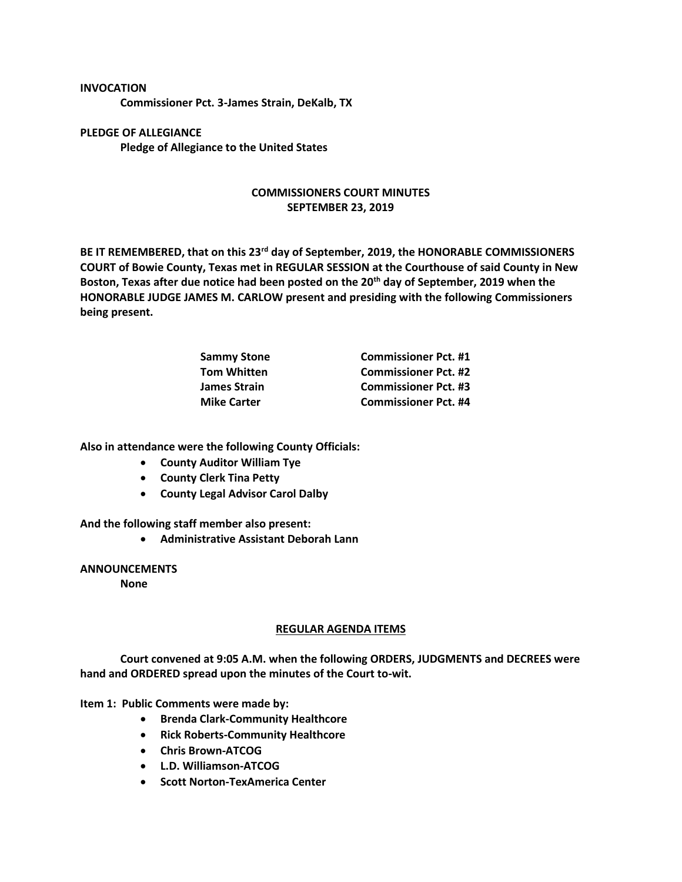## **INVOCATION**

**Commissioner Pct. 3-James Strain, DeKalb, TX**

**PLEDGE OF ALLEGIANCE Pledge of Allegiance to the United States**

## **COMMISSIONERS COURT MINUTES SEPTEMBER 23, 2019**

**BE IT REMEMBERED, that on this 23rd day of September, 2019, the HONORABLE COMMISSIONERS COURT of Bowie County, Texas met in REGULAR SESSION at the Courthouse of said County in New Boston, Texas after due notice had been posted on the 20th day of September, 2019 when the HONORABLE JUDGE JAMES M. CARLOW present and presiding with the following Commissioners being present.**

| <b>Sammy Stone</b> | <b>Commissioner Pct. #1</b> |
|--------------------|-----------------------------|
| <b>Tom Whitten</b> | <b>Commissioner Pct. #2</b> |
| James Strain       | <b>Commissioner Pct. #3</b> |
| <b>Mike Carter</b> | <b>Commissioner Pct. #4</b> |

**Also in attendance were the following County Officials:**

- **County Auditor William Tye**
- **County Clerk Tina Petty**
- **County Legal Advisor Carol Dalby**

**And the following staff member also present:**

• **Administrative Assistant Deborah Lann**

## **ANNOUNCEMENTS**

**None**

## **REGULAR AGENDA ITEMS**

**Court convened at 9:05 A.M. when the following ORDERS, JUDGMENTS and DECREES were hand and ORDERED spread upon the minutes of the Court to-wit.**

**Item 1: Public Comments were made by:** 

- **Brenda Clark-Community Healthcore**
- **Rick Roberts-Community Healthcore**
- **Chris Brown-ATCOG**
- **L.D. Williamson-ATCOG**
- **Scott Norton-TexAmerica Center**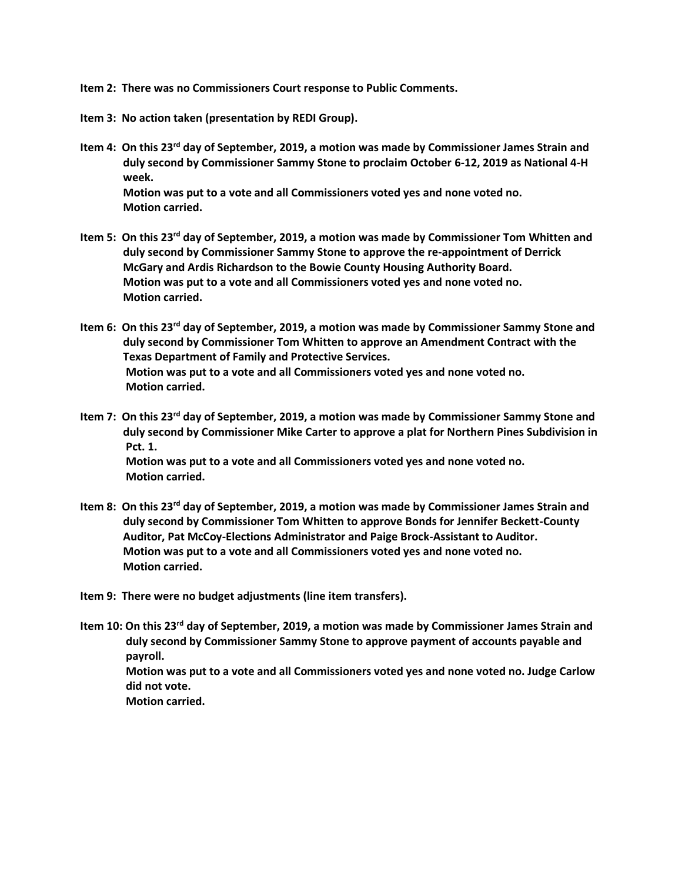**Item 2: There was no Commissioners Court response to Public Comments.**

- **Item 3: No action taken (presentation by REDI Group).**
- **Item 4: On this 23rd day of September, 2019, a motion was made by Commissioner James Strain and duly second by Commissioner Sammy Stone to proclaim October 6-12, 2019 as National 4-H week. Motion was put to a vote and all Commissioners voted yes and none voted no. Motion carried.**
- **Item 5: On this 23rd day of September, 2019, a motion was made by Commissioner Tom Whitten and duly second by Commissioner Sammy Stone to approve the re-appointment of Derrick McGary and Ardis Richardson to the Bowie County Housing Authority Board. Motion was put to a vote and all Commissioners voted yes and none voted no. Motion carried.**
- **Item 6: On this 23rd day of September, 2019, a motion was made by Commissioner Sammy Stone and duly second by Commissioner Tom Whitten to approve an Amendment Contract with the Texas Department of Family and Protective Services. Motion was put to a vote and all Commissioners voted yes and none voted no. Motion carried.**
- **Item 7: On this 23rd day of September, 2019, a motion was made by Commissioner Sammy Stone and duly second by Commissioner Mike Carter to approve a plat for Northern Pines Subdivision in Pct. 1. Motion was put to a vote and all Commissioners voted yes and none voted no. Motion carried.**
- **Item 8: On this 23rd day of September, 2019, a motion was made by Commissioner James Strain and duly second by Commissioner Tom Whitten to approve Bonds for Jennifer Beckett-County Auditor, Pat McCoy-Elections Administrator and Paige Brock-Assistant to Auditor. Motion was put to a vote and all Commissioners voted yes and none voted no. Motion carried.**

**Item 9: There were no budget adjustments (line item transfers).**

**Item 10: On this 23rd day of September, 2019, a motion was made by Commissioner James Strain and duly second by Commissioner Sammy Stone to approve payment of accounts payable and payroll. Motion was put to a vote and all Commissioners voted yes and none voted no. Judge Carlow did not vote. Motion carried.**